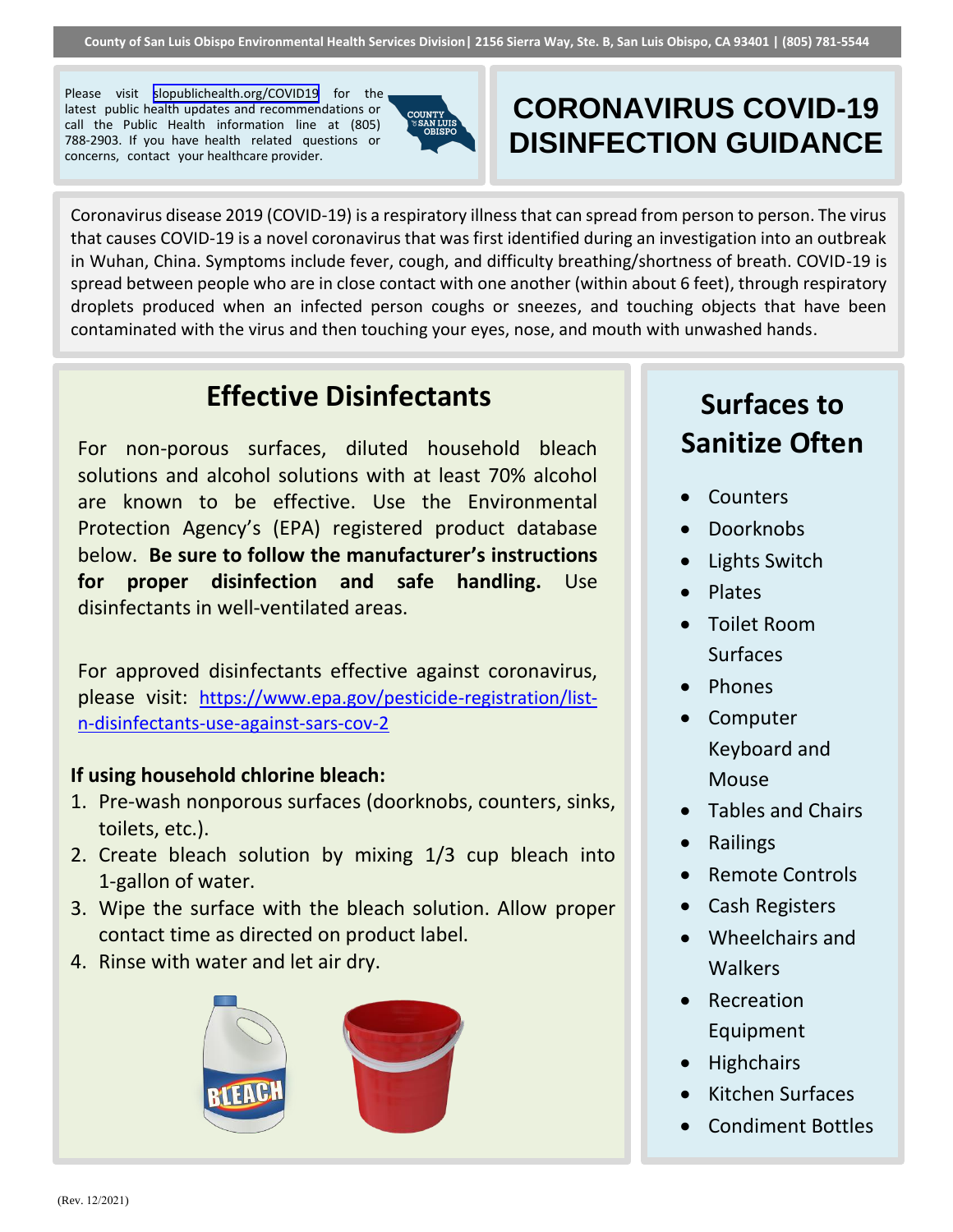Please visit [slopublichealth.org/COVID19](https://www.slopublichealth.org/COVID19) for the latest public health updates and recommendations or call the Public Health information line at (805) 788-2903. If you have health related questions or concerns, contact your healthcare provider.



## **CORONAVIRUS COVID-19 DISINFECTION GUIDANCE**

Coronavirus disease 2019 (COVID-19) is a respiratory illness that can spread from person to person. The virus that causes COVID-19 is a novel coronavirus that was first identified during an investigation into an outbreak in Wuhan, China. Symptoms include fever, cough, and difficulty breathing/shortness of breath. COVID-19 is spread between people who are in close contact with one another (within about 6 feet), through respiratory droplets produced when an infected person coughs or sneezes, and touching objects that have been contaminated with the virus and then touching your eyes, nose, and mouth with unwashed hands.

#### **Effective Disinfectants**

For non-porous surfaces, diluted household bleach solutions and alcohol solutions with at least 70% alcohol are known to be effective. Use the Environmental Protection Agency's (EPA) registered product database below. **Be sure to follow the manufacturer's instructions for proper disinfection and safe handling.** Use disinfectants in well-ventilated areas.

For approved disinfectants effective against coronavirus, please visit: [https://www.epa.gov/pesticide-registration/list](https://www.epa.gov/pesticide-registration/list-n-disinfectants-use-against-sars-cov-2)[n-disinfectants-use-against-sars-cov-2](https://www.epa.gov/pesticide-registration/list-n-disinfectants-use-against-sars-cov-2)

#### **If using household chlorine bleach:**

- 1. Pre-wash nonporous surfaces (doorknobs, counters, sinks, toilets, etc.).
- 2. Create bleach solution by mixing 1/3 cup bleach into 1-gallon of water.
- 3. Wipe the surface with the bleach solution. Allow proper contact time as directed on product label.
- 4. Rinse with water and let air dry.



# **Surfaces to Sanitize Often**

- Counters
- Doorknobs
- Lights Switch
- Plates
- Toilet Room Surfaces
- Phones
- Computer Keyboard and Mouse
- Tables and Chairs
- Railings
- Remote Controls
- Cash Registers
- Wheelchairs and Walkers
- Recreation Equipment
- **Highchairs**
- Kitchen Surfaces
- Condiment Bottles